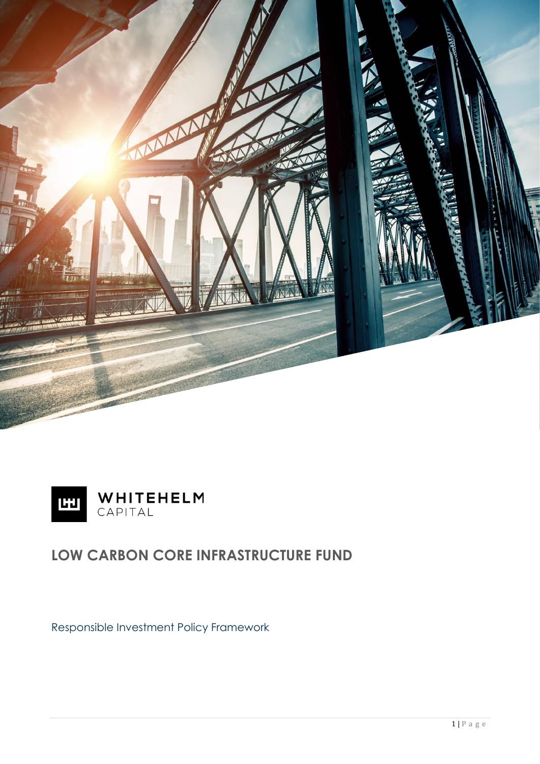



# **LOW CARBON CORE INFRASTRUCTURE FUND**

Responsible Investment Policy Framework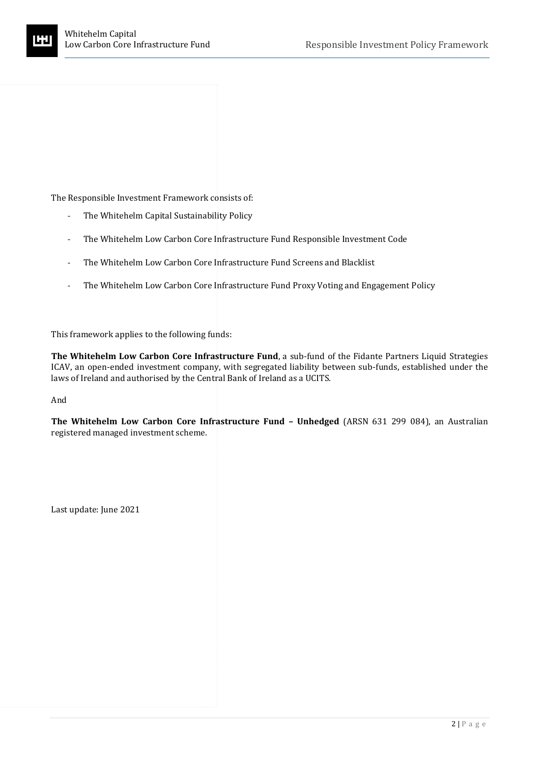The Responsible Investment Framework consists of:

- The Whitehelm Capital Sustainability Policy
- The Whitehelm Low Carbon Core Infrastructure Fund Responsible Investment Code
- The Whitehelm Low Carbon Core Infrastructure Fund Screens and Blacklist
- The Whitehelm Low Carbon Core Infrastructure Fund Proxy Voting and Engagement Policy

This framework applies to the following funds:

**The Whitehelm Low Carbon Core Infrastructure Fund**, a sub-fund of the Fidante Partners Liquid Strategies ICAV, an open-ended investment company, with segregated liability between sub-funds, established under the laws of Ireland and authorised by the Central Bank of Ireland as a UCITS.

And

**The Whitehelm Low Carbon Core Infrastructure Fund – Unhedged** (ARSN 631 299 084), an Australian registered managed investment scheme.

Last update: June 2021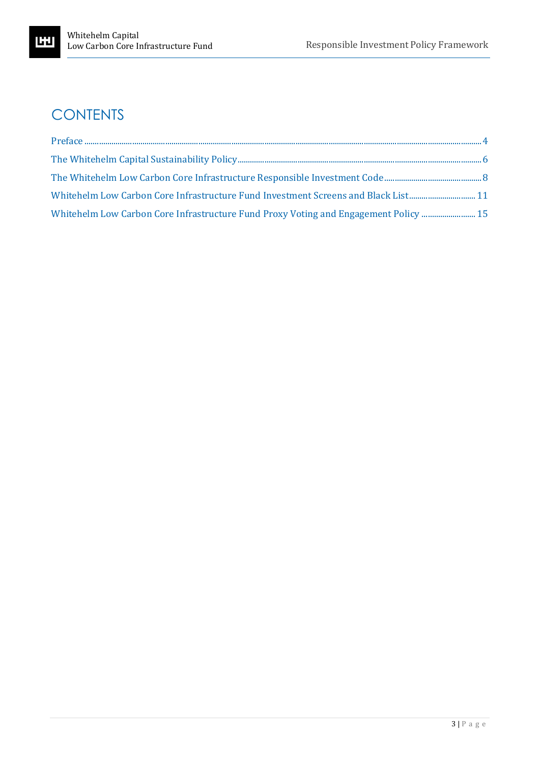# **CONTENTS**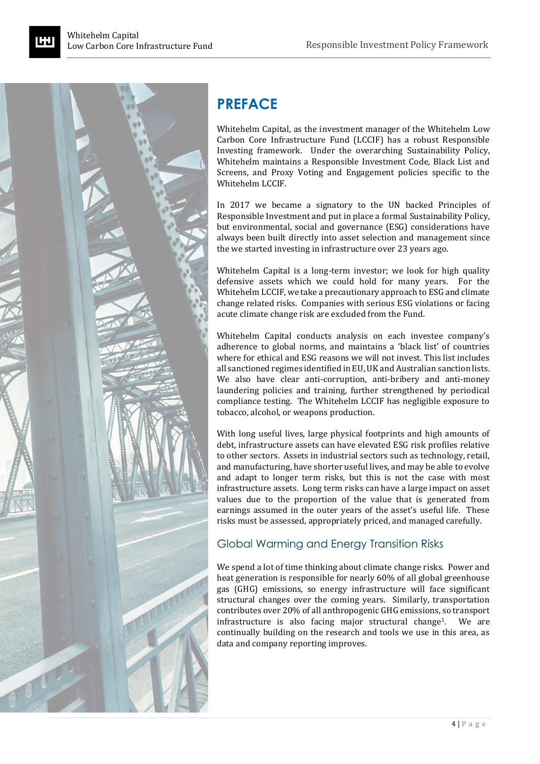

# <span id="page-3-0"></span>**PREFACE**

Whitehelm Capital, as the investment manager of the Whitehelm Low Carbon Core Infrastructure Fund (LCCIF) has a robust Responsible Investing framework. Under the overarching Sustainability Policy, Whitehelm maintains a Responsible Investment Code, Black List and Screens, and Proxy Voting and Engagement policies specific to the Whitehelm LCCIF.

In 2017 we became a signatory to the UN backed Principles of Responsible Investment and put in place a formal Sustainability Policy, but environmental, social and governance (ESG) considerations have always been built directly into asset selection and management since the we started investing in infrastructure over 23 years ago.

Whitehelm Capital is a long-term investor; we look for high quality defensive assets which we could hold for many years. For the Whitehelm LCCIF, we take a precautionary approach to ESG and climate change related risks. Companies with serious ESG violations or facing acute climate change risk are excluded from the Fund.

Whitehelm Capital conducts analysis on each investee company's adherence to global norms, and maintains a 'black list' of countries where for ethical and ESG reasons we will not invest. This list includes all sanctioned regimes identified in EU, UK and Australian sanction lists. We also have clear anti-corruption, anti-bribery and anti-money laundering policies and training, further strengthened by periodical compliance testing. The Whitehelm LCCIF has negligible exposure to tobacco, alcohol, or weapons production.

With long useful lives, large physical footprints and high amounts of debt, infrastructure assets can have elevated ESG risk profiles relative to other sectors. Assets in industrial sectors such as technology, retail, and manufacturing, have shorter useful lives, and may be able to evolve and adapt to longer term risks, but this is not the case with most infrastructure assets. Long term risks can have a large impact on asset values due to the proportion of the value that is generated from earnings assumed in the outer years of the asset's useful life. These risks must be assessed, appropriately priced, and managed carefully.

### Global Warming and Energy Transition Risks

We spend a lot of time thinking about climate change risks. Power and heat generation is responsible for nearly 60% of all global greenhouse gas (GHG) emissions, so energy infrastructure will face significant structural changes over the coming years. Similarly, transportation contributes over 20% of all anthropogenic GHG emissions, so transport infrastructure is also facing major structural change<sup>1</sup>. We are continually building on the research and tools we use in this area, as data and company reporting improves.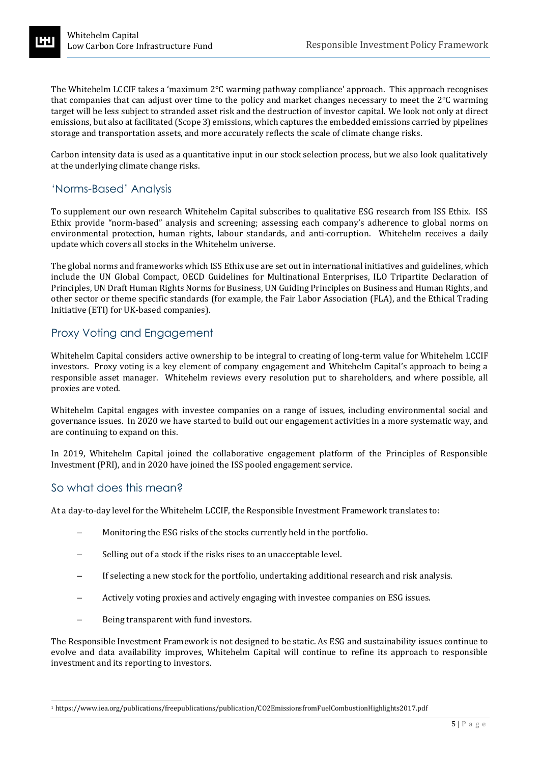The Whitehelm LCCIF takes a 'maximum 2°C warming pathway compliance' approach. This approach recognises that companies that can adjust over time to the policy and market changes necessary to meet the 2°C warming target will be less subject to stranded asset risk and the destruction of investor capital. We look not only at direct emissions, but also at facilitated (Scope 3) emissions, which captures the embedded emissions carried by pipelines storage and transportation assets, and more accurately reflects the scale of climate change risks.

Carbon intensity data is used as a quantitative input in our stock selection process, but we also look qualitatively at the underlying climate change risks.

### 'Norms-Based' Analysis

To supplement our own research Whitehelm Capital subscribes to qualitative ESG research from ISS Ethix. ISS Ethix provide "norm-based" analysis and screening; assessing each company's adherence to global norms on environmental protection, human rights, labour standards, and anti‐corruption. Whitehelm receives a daily update which covers all stocks in the Whitehelm universe.

The global norms and frameworks which ISS Ethix use are set out in international initiatives and guidelines, which include the UN Global Compact, OECD Guidelines for Multinational Enterprises, ILO Tripartite Declaration of Principles, UN Draft Human Rights Norms for Business, UN Guiding Principles on Business and Human Rights, and other sector or theme specific standards (for example, the Fair Labor Association (FLA), and the Ethical Trading Initiative (ETI) for UK-based companies).

### Proxy Voting and Engagement

Whitehelm Capital considers active ownership to be integral to creating of long-term value for Whitehelm LCCIF investors. Proxy voting is a key element of company engagement and Whitehelm Capital's approach to being a responsible asset manager. Whitehelm reviews every resolution put to shareholders, and where possible, all proxies are voted.

Whitehelm Capital engages with investee companies on a range of issues, including environmental social and governance issues. In 2020 we have started to build out our engagement activities in a more systematic way, and are continuing to expand on this.

In 2019, Whitehelm Capital joined the collaborative engagement platform of the Principles of Responsible Investment (PRI), and in 2020 have joined the ISS pooled engagement service.

#### So what does this mean?

At a day-to-day level for the Whitehelm LCCIF, the Responsible Investment Framework translates to:

- Monitoring the ESG risks of the stocks currently held in the portfolio.
- Selling out of a stock if the risks rises to an unacceptable level.
- If selecting a new stock for the portfolio, undertaking additional research and risk analysis.
- Actively voting proxies and actively engaging with investee companies on ESG issues.
- Being transparent with fund investors.

The Responsible Investment Framework is not designed to be static. As ESG and sustainability issues continue to evolve and data availability improves, Whitehelm Capital will continue to refine its approach to responsible investment and its reporting to investors.

<sup>1</sup> https://www.iea.org/publications/freepublications/publication/CO2EmissionsfromFuelCombustionHighlights2017.pdf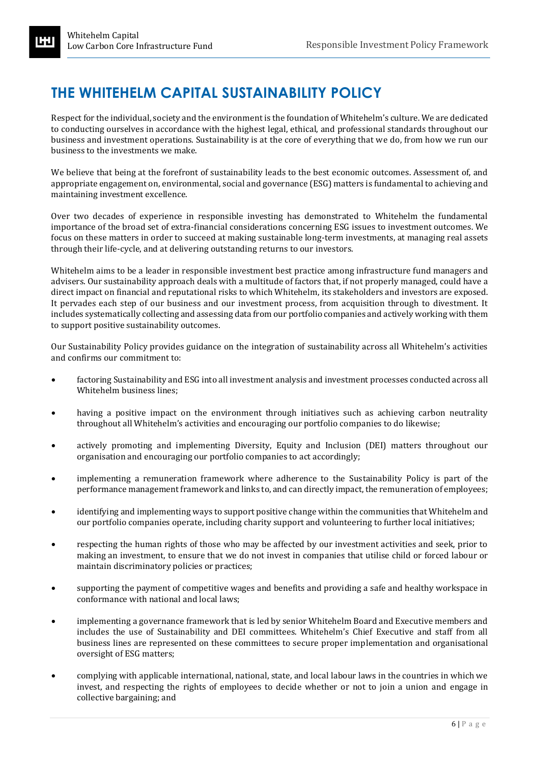# <span id="page-5-0"></span>**THE WHITEHELM CAPITAL SUSTAINABILITY POLICY**

Respect for the individual, society and the environment is the foundation of Whitehelm's culture. We are dedicated to conducting ourselves in accordance with the highest legal, ethical, and professional standards throughout our business and investment operations. Sustainability is at the core of everything that we do, from how we run our business to the investments we make.

We believe that being at the forefront of sustainability leads to the best economic outcomes. Assessment of, and appropriate engagement on, environmental, social and governance (ESG) matters is fundamental to achieving and maintaining investment excellence.

Over two decades of experience in responsible investing has demonstrated to Whitehelm the fundamental importance of the broad set of extra-financial considerations concerning ESG issues to investment outcomes. We focus on these matters in order to succeed at making sustainable long-term investments, at managing real assets through their life-cycle, and at delivering outstanding returns to our investors.

Whitehelm aims to be a leader in responsible investment best practice among infrastructure fund managers and advisers. Our sustainability approach deals with a multitude of factors that, if not properly managed, could have a direct impact on financial and reputational risks to which Whitehelm, its stakeholders and investors are exposed. It pervades each step of our business and our investment process, from acquisition through to divestment. It includes systematically collecting and assessing data from our portfolio companies and actively working with them to support positive sustainability outcomes.

Our Sustainability Policy provides guidance on the integration of sustainability across all Whitehelm's activities and confirms our commitment to:

- factoring Sustainability and ESG into all investment analysis and investment processes conducted across all Whitehelm business lines;
- having a positive impact on the environment through initiatives such as achieving carbon neutrality throughout all Whitehelm's activities and encouraging our portfolio companies to do likewise;
- actively promoting and implementing Diversity, Equity and Inclusion (DEI) matters throughout our organisation and encouraging our portfolio companies to act accordingly;
- implementing a remuneration framework where adherence to the Sustainability Policy is part of the performance management framework and links to, and can directly impact, the remuneration of employees;
- identifying and implementing ways to support positive change within the communities that Whitehelm and our portfolio companies operate, including charity support and volunteering to further local initiatives;
- respecting the human rights of those who may be affected by our investment activities and seek, prior to making an investment, to ensure that we do not invest in companies that utilise child or forced labour or maintain discriminatory policies or practices;
- supporting the payment of competitive wages and benefits and providing a safe and healthy workspace in conformance with national and local laws;
- implementing a governance framework that is led by senior Whitehelm Board and Executive members and includes the use of Sustainability and DEI committees. Whitehelm's Chief Executive and staff from all business lines are represented on these committees to secure proper implementation and organisational oversight of ESG matters;
- complying with applicable international, national, state, and local labour laws in the countries in which we invest, and respecting the rights of employees to decide whether or not to join a union and engage in collective bargaining; and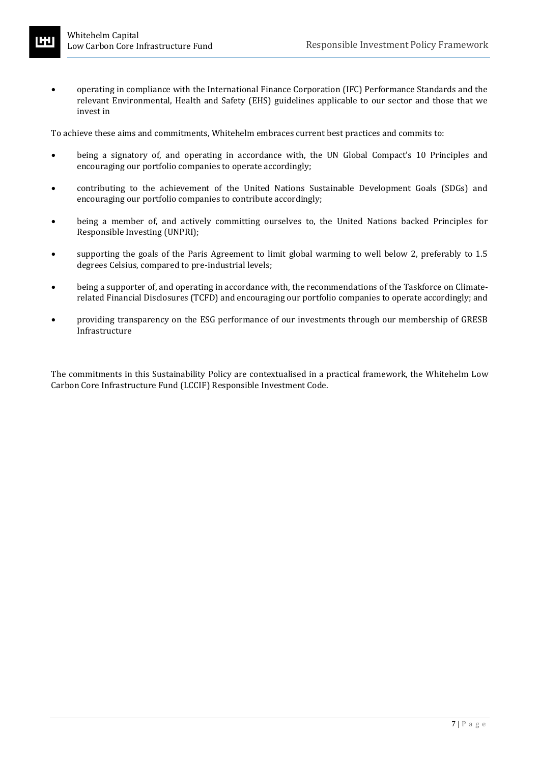• operating in compliance with the International Finance Corporation (IFC) Performance Standards and the relevant Environmental, Health and Safety (EHS) guidelines applicable to our sector and those that we invest in

To achieve these aims and commitments, Whitehelm embraces current best practices and commits to:

- being a signatory of, and operating in accordance with, the UN Global Compact's 10 Principles and encouraging our portfolio companies to operate accordingly;
- contributing to the achievement of the United Nations Sustainable Development Goals (SDGs) and encouraging our portfolio companies to contribute accordingly;
- being a member of, and actively committing ourselves to, the United Nations backed Principles for Responsible Investing (UNPRI);
- supporting the goals of the Paris Agreement to limit global warming to well below 2, preferably to 1.5 degrees Celsius, compared to pre-industrial levels;
- being a supporter of, and operating in accordance with, the recommendations of the Taskforce on Climaterelated Financial Disclosures (TCFD) and encouraging our portfolio companies to operate accordingly; and
- providing transparency on the ESG performance of our investments through our membership of GRESB Infrastructure

The commitments in this Sustainability Policy are contextualised in a practical framework, the Whitehelm Low Carbon Core Infrastructure Fund (LCCIF) Responsible Investment Code.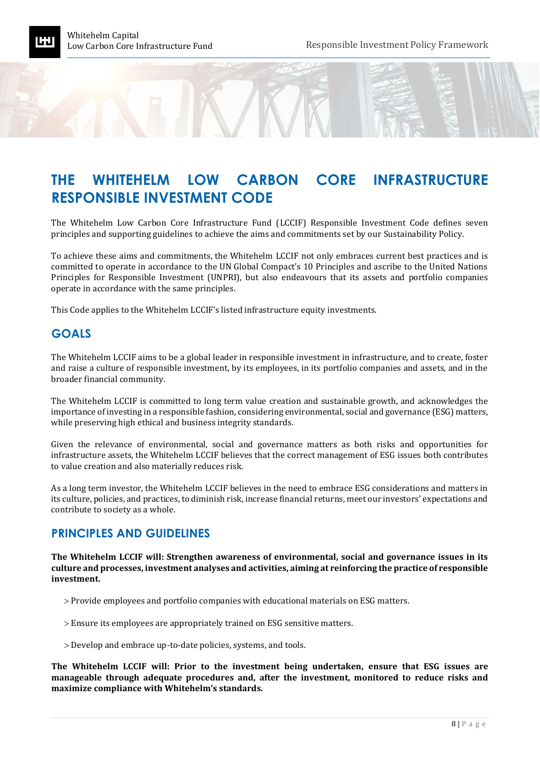## <span id="page-7-0"></span>**THE WHITEHELM LOW CARBON CORE INFRASTRUCTURE RESPONSIBLE INVESTMENT CODE**

The Whitehelm Low Carbon Core Infrastructure Fund (LCCIF) Responsible Investment Code defines seven principles and supporting guidelines to achieve the aims and commitments set by our Sustainability Policy.

To achieve these aims and commitments, the Whitehelm LCCIF not only embraces current best practices and is committed to operate in accordance to the UN Global Compact's 10 Principles and ascribe to the United Nations Principles for Responsible Investment (UNPRI), but also endeavours that its assets and portfolio companies operate in accordance with the same principles.

This Code applies to the Whitehelm LCCIF's listed infrastructure equity investments.

### **GOALS**

The Whitehelm LCCIF aims to be a global leader in responsible investment in infrastructure, and to create, foster and raise a culture of responsible investment, by its employees, in its portfolio companies and assets, and in the broader financial community.

The Whitehelm LCCIF is committed to long term value creation and sustainable growth, and acknowledges the importance of investing in a responsible fashion, considering environmental, social and governance (ESG) matters, while preserving high ethical and business integrity standards.

Given the relevance of environmental, social and governance matters as both risks and opportunities for infrastructure assets, the Whitehelm LCCIF believes that the correct management of ESG issues both contributes to value creation and also materially reduces risk.

As a long term investor, the Whitehelm LCCIF believes in the need to embrace ESG considerations and matters in its culture, policies, and practices, to diminish risk, increase financial returns, meet our investors' expectations and contribute to society as a whole.

#### **PRINCIPLES AND GUIDELINES**

**The Whitehelm LCCIF will: Strengthen awareness of environmental, social and governance issues in its culture and processes, investment analyses and activities, aiming at reinforcing the practice of responsible investment.** 

- Provide employees and portfolio companies with educational materials on ESG matters.
- Ensure its employees are appropriately trained on ESG sensitive matters.
- Develop and embrace up-to-date policies, systems, and tools.

**The Whitehelm LCCIF will: Prior to the investment being undertaken, ensure that ESG issues are manageable through adequate procedures and, after the investment, monitored to reduce risks and maximize compliance with Whitehelm's standards.**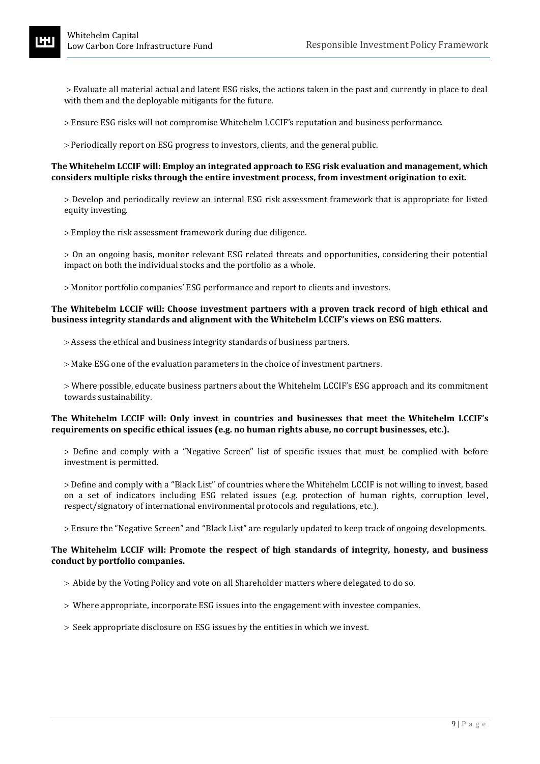Evaluate all material actual and latent ESG risks, the actions taken in the past and currently in place to deal with them and the deployable mitigants for the future.

- Ensure ESG risks will not compromise Whitehelm LCCIF's reputation and business performance.
- Periodically report on ESG progress to investors, clients, and the general public.

#### **The Whitehelm LCCIF will: Employ an integrated approach to ESG risk evaluation and management, which considers multiple risks through the entire investment process, from investment origination to exit.**

 Develop and periodically review an internal ESG risk assessment framework that is appropriate for listed equity investing.

Employ the risk assessment framework during due diligence.

 On an ongoing basis, monitor relevant ESG related threats and opportunities, considering their potential impact on both the individual stocks and the portfolio as a whole.

Monitor portfolio companies' ESG performance and report to clients and investors.

#### **The Whitehelm LCCIF will: Choose investment partners with a proven track record of high ethical and business integrity standards and alignment with the Whitehelm LCCIF's views on ESG matters.**

- Assess the ethical and business integrity standards of business partners.
- $>$  Make ESG one of the evaluation parameters in the choice of investment partners.

 Where possible, educate business partners about the Whitehelm LCCIF's ESG approach and its commitment towards sustainability.

#### **The Whitehelm LCCIF will: Only invest in countries and businesses that meet the Whitehelm LCCIF's requirements on specific ethical issues (e.g. no human rights abuse, no corrupt businesses, etc.).**

 Define and comply with a "Negative Screen" list of specific issues that must be complied with before investment is permitted.

 Define and comply with a "Black List" of countries where the Whitehelm LCCIF is not willing to invest, based on a set of indicators including ESG related issues (e.g. protection of human rights, corruption level, respect/signatory of international environmental protocols and regulations, etc.).

Ensure the "Negative Screen" and "Black List" are regularly updated to keep track of ongoing developments.

#### **The Whitehelm LCCIF will: Promote the respect of high standards of integrity, honesty, and business conduct by portfolio companies.**

- Abide by the Voting Policy and vote on all Shareholder matters where delegated to do so.
- Where appropriate, incorporate ESG issues into the engagement with investee companies.
- $>$  Seek appropriate disclosure on ESG issues by the entities in which we invest.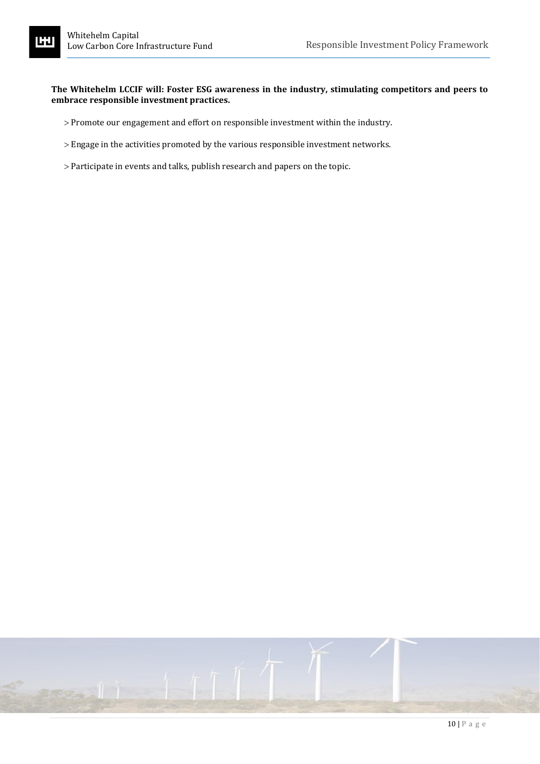#### **The Whitehelm LCCIF will: Foster ESG awareness in the industry, stimulating competitors and peers to embrace responsible investment practices.**

- Promote our engagement and effort on responsible investment within the industry.
- Engage in the activities promoted by the various responsible investment networks.
- Participate in events and talks, publish research and papers on the topic.

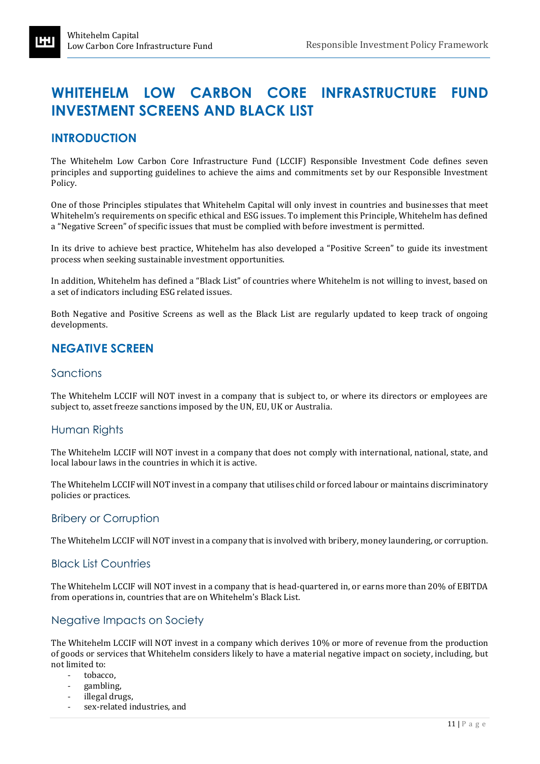## <span id="page-10-0"></span>**WHITEHELM LOW CARBON CORE INFRASTRUCTURE FUND INVESTMENT SCREENS AND BLACK LIST**

## **INTRODUCTION**

The Whitehelm Low Carbon Core Infrastructure Fund (LCCIF) Responsible Investment Code defines seven principles and supporting guidelines to achieve the aims and commitments set by our Responsible Investment Policy.

One of those Principles stipulates that Whitehelm Capital will only invest in countries and businesses that meet Whitehelm's requirements on specific ethical and ESG issues. To implement this Principle, Whitehelm has defined a "Negative Screen" of specific issues that must be complied with before investment is permitted.

In its drive to achieve best practice, Whitehelm has also developed a "Positive Screen" to guide its investment process when seeking sustainable investment opportunities.

In addition, Whitehelm has defined a "Black List" of countries where Whitehelm is not willing to invest, based on a set of indicators including ESG related issues.

Both Negative and Positive Screens as well as the Black List are regularly updated to keep track of ongoing developments.

## **NEGATIVE SCREEN**

#### Sanctions

The Whitehelm LCCIF will NOT invest in a company that is subject to, or where its directors or employees are subject to, asset freeze sanctions imposed by the UN, EU, UK or Australia.

#### Human Rights

The Whitehelm LCCIF will NOT invest in a company that does not comply with international, national, state, and local labour laws in the countries in which it is active.

The Whitehelm LCCIF will NOT invest in a company that utilises child or forced labour or maintains discriminatory policies or practices.

#### Bribery or Corruption

The Whitehelm LCCIF will NOT invest in a company that is involved with bribery, money laundering, or corruption.

#### Black List Countries

The Whitehelm LCCIF will NOT invest in a company that is head-quartered in, or earns more than 20% of EBITDA from operations in, countries that are on Whitehelm's Black List.

#### Negative Impacts on Society

The Whitehelm LCCIF will NOT invest in a company which derives 10% or more of revenue from the production of goods or services that Whitehelm considers likely to have a material negative impact on society, including, but not limited to:

- tobacco.
- gambling,
- illegal drugs,
- sex-related industries, and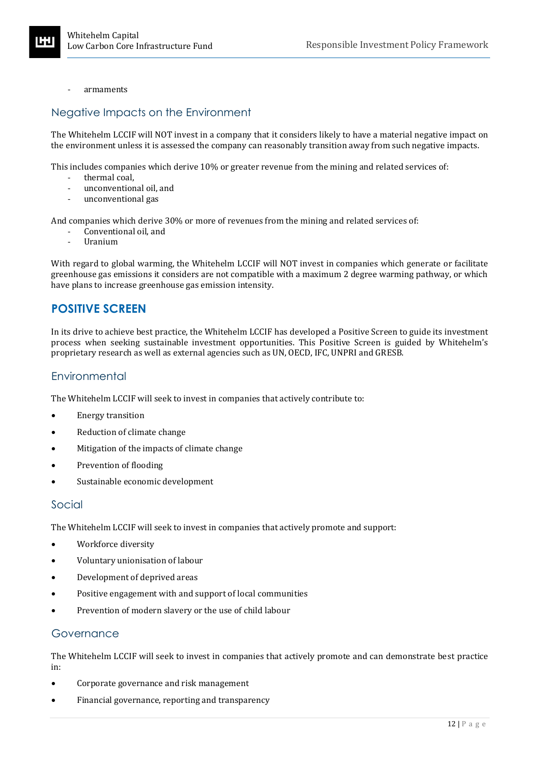- armaments

#### Negative Impacts on the Environment

The Whitehelm LCCIF will NOT invest in a company that it considers likely to have a material negative impact on the environment unless it is assessed the company can reasonably transition away from such negative impacts.

This includes companies which derive 10% or greater revenue from the mining and related services of:

- thermal coal,
- unconventional oil, and
- unconventional gas

And companies which derive 30% or more of revenues from the mining and related services of:

- Conventional oil, and
- Uranium

With regard to global warming, the Whitehelm LCCIF will NOT invest in companies which generate or facilitate greenhouse gas emissions it considers are not compatible with a maximum 2 degree warming pathway, or which have plans to increase greenhouse gas emission intensity.

### **POSITIVE SCREEN**

In its drive to achieve best practice, the Whitehelm LCCIF has developed a Positive Screen to guide its investment process when seeking sustainable investment opportunities. This Positive Screen is guided by Whitehelm's proprietary research as well as external agencies such as UN, OECD, IFC, UNPRI and GRESB.

### **Environmental**

The Whitehelm LCCIF will seek to invest in companies that actively contribute to:

- Energy transition
- Reduction of climate change
- Mitigation of the impacts of climate change
- Prevention of flooding
- Sustainable economic development

#### Social

The Whitehelm LCCIF will seek to invest in companies that actively promote and support:

- Workforce diversity
- Voluntary unionisation of labour
- Development of deprived areas
- Positive engagement with and support of local communities
- Prevention of modern slavery or the use of child labour

#### Governance

The Whitehelm LCCIF will seek to invest in companies that actively promote and can demonstrate best practice in:

- Corporate governance and risk management
- Financial governance, reporting and transparency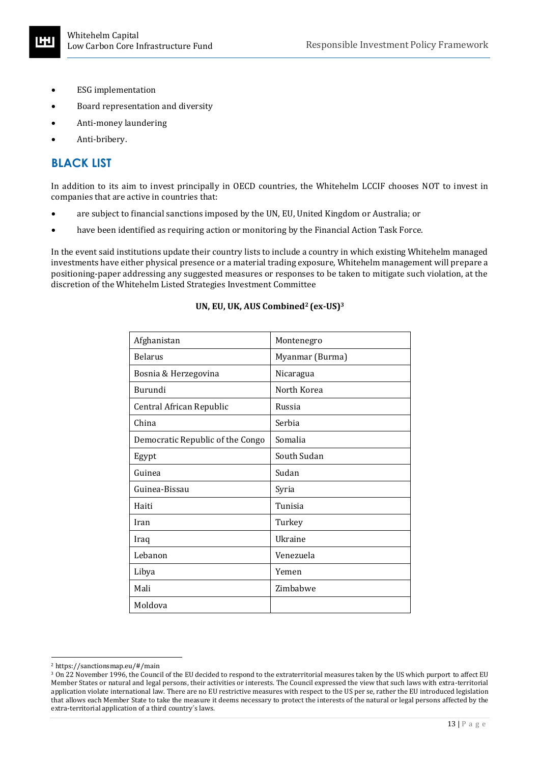- ESG implementation
- Board representation and diversity
- Anti-money laundering
- Anti-bribery.

## **BLACK LIST**

In addition to its aim to invest principally in OECD countries, the Whitehelm LCCIF chooses NOT to invest in companies that are active in countries that:

- are subject to financial sanctions imposed by the UN, EU, United Kingdom or Australia; or
- have been identified as requiring action or monitoring by the Financial Action Task Force.

In the event said institutions update their country lists to include a country in which existing Whitehelm managed investments have either physical presence or a material trading exposure, Whitehelm management will prepare a positioning-paper addressing any suggested measures or responses to be taken to mitigate such violation, at the discretion of the Whitehelm Listed Strategies Investment Committee

| Afghanistan                      | Montenegro      |
|----------------------------------|-----------------|
| <b>Belarus</b>                   | Myanmar (Burma) |
| Bosnia & Herzegovina             | Nicaragua       |
| Burundi                          | North Korea     |
| Central African Republic         | Russia          |
| China                            | Serbia          |
| Democratic Republic of the Congo | Somalia         |
| Egypt                            | South Sudan     |
| Guinea                           | Sudan           |
| Guinea-Bissau                    | Syria           |
| Haiti                            | Tunisia         |
| Iran                             | Turkey          |
| Iraq                             | Ukraine         |
| Lebanon                          | Venezuela       |
| Libya                            | Yemen           |
| Mali                             | Zimbabwe        |
| Moldova                          |                 |

#### **UN, EU, UK, AUS Combined<sup>2</sup> (ex-US)<sup>3</sup>**

<sup>2</sup> https://sanctionsmap.eu/#/main

<sup>3</sup> On 22 November 1996, the Council of the EU decided to respond to the extraterritorial measures taken by the US which purport to affect EU Member States or natural and legal persons, their activities or interests. The Council expressed the view that such laws with extra-territorial application violate international law. There are no EU restrictive measures with respect to the US per se, rather the EU introduced legislation that allows each Member State to take the measure it deems necessary to protect the interests of the natural or legal persons affected by the extra-territorial application of a third country´s laws.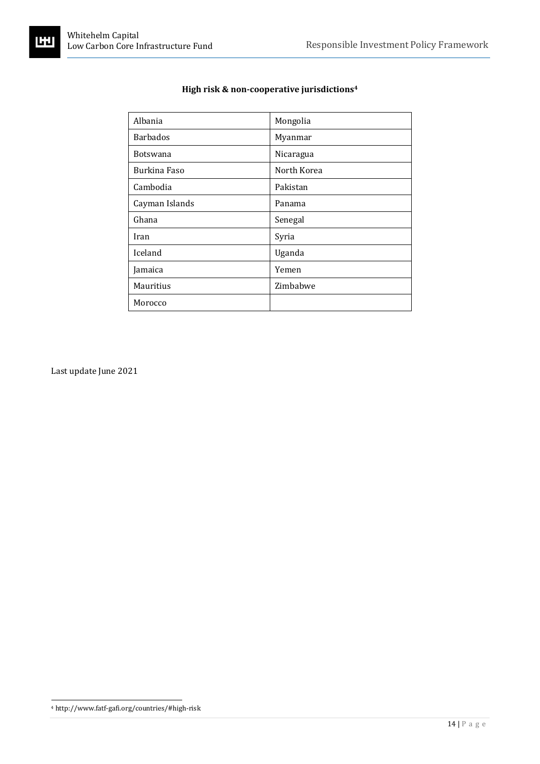ĽIJ

| Albania         | Mongolia    |
|-----------------|-------------|
| <b>Barbados</b> | Myanmar     |
| <b>Botswana</b> | Nicaragua   |
| Burkina Faso    | North Korea |
| Cambodia        | Pakistan    |
| Cayman Islands  | Panama      |
| Ghana           | Senegal     |
| Iran            | Syria       |
| Iceland         | Uganda      |
| Jamaica         | Yemen       |
| Mauritius       | Zimbabwe    |
| Morocco         |             |

### **High risk & non-cooperative jurisdictions<sup>4</sup>**

Last update June 2021

<sup>4</sup> http://www.fatf-gafi.org/countries/#high-risk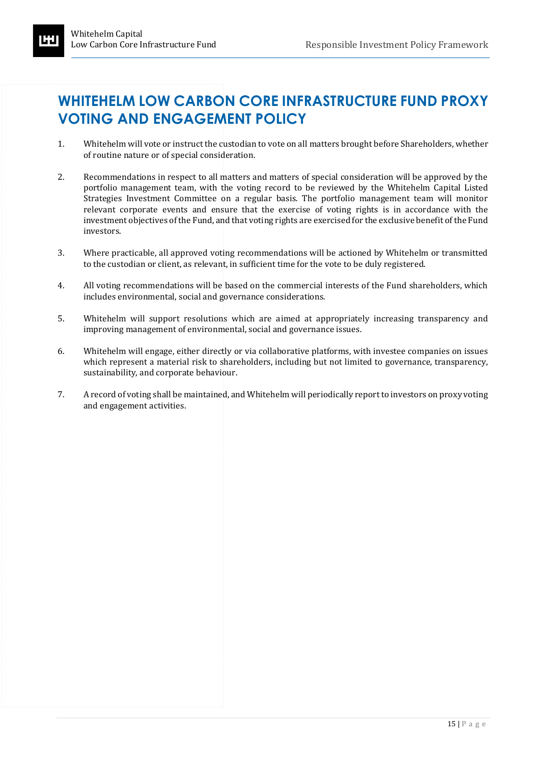# <span id="page-14-0"></span>**WHITEHELM LOW CARBON CORE INFRASTRUCTURE FUND PROXY VOTING AND ENGAGEMENT POLICY**

- 1. Whitehelm will vote or instruct the custodian to vote on all matters brought before Shareholders, whether of routine nature or of special consideration.
- 2. Recommendations in respect to all matters and matters of special consideration will be approved by the portfolio management team, with the voting record to be reviewed by the Whitehelm Capital Listed Strategies Investment Committee on a regular basis. The portfolio management team will monitor relevant corporate events and ensure that the exercise of voting rights is in accordance with the investment objectives of the Fund, and that voting rights are exercised for the exclusive benefit of the Fund investors.
- 3. Where practicable, all approved voting recommendations will be actioned by Whitehelm or transmitted to the custodian or client, as relevant, in sufficient time for the vote to be duly registered.
- 4. All voting recommendations will be based on the commercial interests of the Fund shareholders, which includes environmental, social and governance considerations.
- 5. Whitehelm will support resolutions which are aimed at appropriately increasing transparency and improving management of environmental, social and governance issues.
- 6. Whitehelm will engage, either directly or via collaborative platforms, with investee companies on issues which represent a material risk to shareholders, including but not limited to governance, transparency, sustainability, and corporate behaviour.
- 7. A record of voting shall be maintained, and Whitehelm will periodically report to investors on proxy voting and engagement activities.